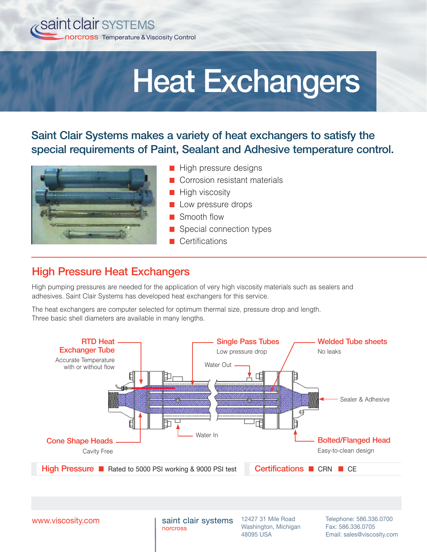

# Heat Exchangers

Saint Clair Systems makes a variety of heat exchangers to satisfy the special requirements of Paint, Sealant and Adhesive temperature control.



- High pressure designs
- Corrosion resistant materials
- High viscosity
- Low pressure drops
- Smooth flow
- Special connection types
- Certifications

### High Pressure Heat Exchangers

High pumping pressures are needed for the application of very high viscosity materials such as sealers and adhesives. Saint Clair Systems has developed heat exchangers for this service.

The heat exchangers are computer selected for optimum thermal size, pressure drop and length. Three basic shell diameters are available in many lengths.



www.viscosity.com

saint clair systems norcross

12427 31 Mile Road Washington, Michigan 48095 USA

Telephone: 586.336.0700 Fax: 586.336.0705 Email: sales@viscosity.com